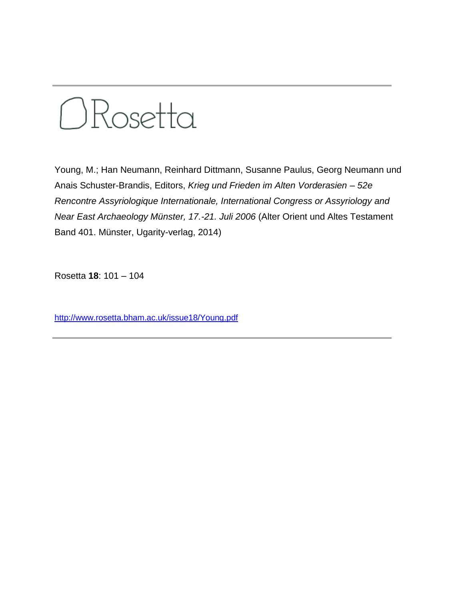

Young, M.; Han Neumann, Reinhard Dittmann, Susanne Paulus, Georg Neumann und Anais Schuster-Brandis, Editors, *Krieg und Frieden im Alten Vorderasien – 52e Rencontre Assyriologique Internationale, International Congress or Assyriology and Near East Archaeology Münster, 17.-21. Juli 2006* (Alter Orient und Altes Testament Band 401. Münster, Ugarity-verlag, 2014)

Rosetta **18**: 101 – 104

<http://www.rosetta.bham.ac.uk/issue18/Young.pdf>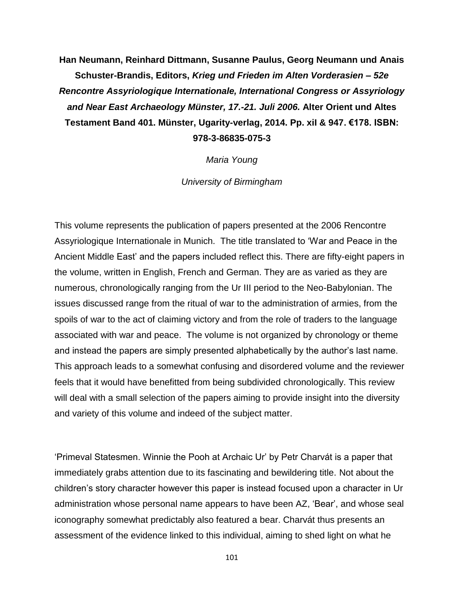**Han Neumann, Reinhard Dittmann, Susanne Paulus, Georg Neumann und Anais Schuster-Brandis, Editors,** *Krieg und Frieden im Alten Vorderasien – 52e Rencontre Assyriologique Internationale, International Congress or Assyriology and Near East Archaeology Münster, 17.-21. Juli 2006.* **Alter Orient und Altes Testament Band 401. Münster, Ugarity-verlag, 2014. Pp. xiI & 947. €178. ISBN: 978-3-86835-075-3**

*Maria Young*

*University of Birmingham*

This volume represents the publication of papers presented at the 2006 Rencontre Assyriologique Internationale in Munich. The title translated to 'War and Peace in the Ancient Middle East' and the papers included reflect this. There are fifty-eight papers in the volume, written in English, French and German. They are as varied as they are numerous, chronologically ranging from the Ur III period to the Neo-Babylonian. The issues discussed range from the ritual of war to the administration of armies, from the spoils of war to the act of claiming victory and from the role of traders to the language associated with war and peace. The volume is not organized by chronology or theme and instead the papers are simply presented alphabetically by the author's last name. This approach leads to a somewhat confusing and disordered volume and the reviewer feels that it would have benefitted from being subdivided chronologically. This review will deal with a small selection of the papers aiming to provide insight into the diversity and variety of this volume and indeed of the subject matter.

'Primeval Statesmen. Winnie the Pooh at Archaic Ur' by Petr Charvát is a paper that immediately grabs attention due to its fascinating and bewildering title. Not about the children's story character however this paper is instead focused upon a character in Ur administration whose personal name appears to have been AZ, 'Bear', and whose seal iconography somewhat predictably also featured a bear. Charvát thus presents an assessment of the evidence linked to this individual, aiming to shed light on what he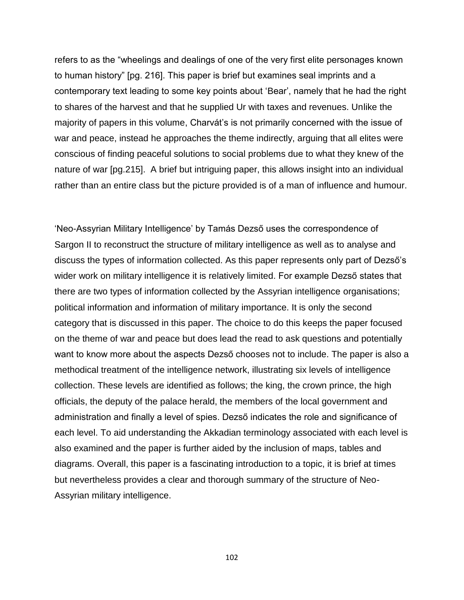refers to as the "wheelings and dealings of one of the very first elite personages known to human history" [pg. 216]. This paper is brief but examines seal imprints and a contemporary text leading to some key points about 'Bear', namely that he had the right to shares of the harvest and that he supplied Ur with taxes and revenues. Unlike the majority of papers in this volume, Charvát's is not primarily concerned with the issue of war and peace, instead he approaches the theme indirectly, arguing that all elites were conscious of finding peaceful solutions to social problems due to what they knew of the nature of war [pg.215]. A brief but intriguing paper, this allows insight into an individual rather than an entire class but the picture provided is of a man of influence and humour.

'Neo-Assyrian Military Intelligence' by Tamás Dezső uses the correspondence of Sargon II to reconstruct the structure of military intelligence as well as to analyse and discuss the types of information collected. As this paper represents only part of Dezső's wider work on military intelligence it is relatively limited. For example Dezső states that there are two types of information collected by the Assyrian intelligence organisations; political information and information of military importance. It is only the second category that is discussed in this paper. The choice to do this keeps the paper focused on the theme of war and peace but does lead the read to ask questions and potentially want to know more about the aspects Dezső chooses not to include. The paper is also a methodical treatment of the intelligence network, illustrating six levels of intelligence collection. These levels are identified as follows; the king, the crown prince, the high officials, the deputy of the palace herald, the members of the local government and administration and finally a level of spies. Dezső indicates the role and significance of each level. To aid understanding the Akkadian terminology associated with each level is also examined and the paper is further aided by the inclusion of maps, tables and diagrams. Overall, this paper is a fascinating introduction to a topic, it is brief at times but nevertheless provides a clear and thorough summary of the structure of Neo-Assyrian military intelligence.

102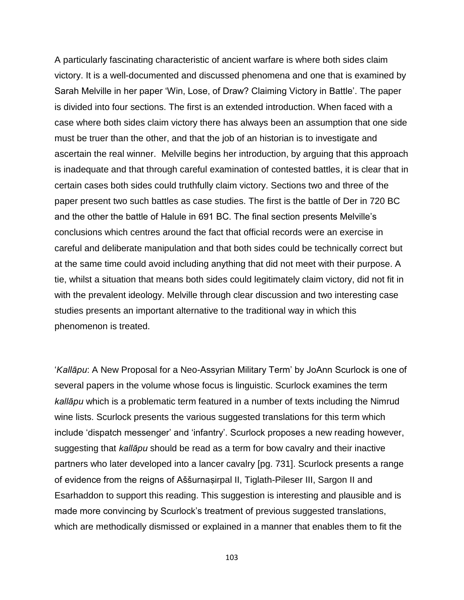A particularly fascinating characteristic of ancient warfare is where both sides claim victory. It is a well-documented and discussed phenomena and one that is examined by Sarah Melville in her paper 'Win, Lose, of Draw? Claiming Victory in Battle'. The paper is divided into four sections. The first is an extended introduction. When faced with a case where both sides claim victory there has always been an assumption that one side must be truer than the other, and that the job of an historian is to investigate and ascertain the real winner. Melville begins her introduction, by arguing that this approach is inadequate and that through careful examination of contested battles, it is clear that in certain cases both sides could truthfully claim victory. Sections two and three of the paper present two such battles as case studies. The first is the battle of Der in 720 BC and the other the battle of Halule in 691 BC. The final section presents Melville's conclusions which centres around the fact that official records were an exercise in careful and deliberate manipulation and that both sides could be technically correct but at the same time could avoid including anything that did not meet with their purpose. A tie, whilst a situation that means both sides could legitimately claim victory, did not fit in with the prevalent ideology. Melville through clear discussion and two interesting case studies presents an important alternative to the traditional way in which this phenomenon is treated.

'*Kallāpu*: A New Proposal for a Neo-Assyrian Military Term' by JoAnn Scurlock is one of several papers in the volume whose focus is linguistic. Scurlock examines the term *kallāpu* which is a problematic term featured in a number of texts including the Nimrud wine lists. Scurlock presents the various suggested translations for this term which include 'dispatch messenger' and 'infantry'. Scurlock proposes a new reading however, suggesting that *kallāpu* should be read as a term for bow cavalry and their inactive partners who later developed into a lancer cavalry [pg. 731]. Scurlock presents a range of evidence from the reigns of Aššurnaṣirpal II, Tiglath-Pileser III, Sargon II and Esarhaddon to support this reading. This suggestion is interesting and plausible and is made more convincing by Scurlock's treatment of previous suggested translations, which are methodically dismissed or explained in a manner that enables them to fit the

103